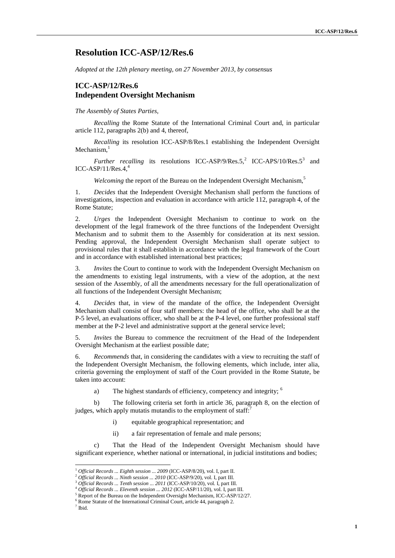# **Resolution ICC-ASP/12/Res.6**

*Adopted at the 12th plenary meeting, on 27 November 2013, by consensus*

## **ICC-ASP/12/Res.6 Independent Oversight Mechanism**

#### *The Assembly of States Parties,*

*Recalling* the Rome Statute of the International Criminal Court and, in particular article 112, paragraphs 2(b) and 4, thereof,

*Recalling* its resolution ICC-ASP/8/Res.1 establishing the Independent Oversight Mechanism,

*Further recalling* its resolutions ICC-ASP/9/Res.5,<sup>2</sup> ICC-APS/10/Res.5<sup>3</sup> and ICC-ASP/11/Res. $4.4$ 

*Welcoming* the report of the Bureau on the Independent Oversight Mechanism,<sup>5</sup>

1. *Decides* that the Independent Oversight Mechanism shall perform the functions of investigations, inspection and evaluation in accordance with article 112, paragraph 4, of the Rome Statute;

2. *Urges* the Independent Oversight Mechanism to continue to work on the development of the legal framework of the three functions of the Independent Oversight Mechanism and to submit them to the Assembly for consideration at its next session. Pending approval, the Independent Oversight Mechanism shall operate subject to provisional rules that it shall establish in accordance with the legal framework of the Court and in accordance with established international best practices;

3. *Invites* the Court to continue to work with the Independent Oversight Mechanism on the amendments to existing legal instruments, with a view of the adoption, at the next session of the Assembly, of all the amendments necessary for the full operationalization of all functions of the Independent Oversight Mechanism;

4. *Decides* that, in view of the mandate of the office*,* the Independent Oversight Mechanism shall consist of four staff members: the head of the office, who shall be at the P-5 level, an evaluations officer, who shall be at the P-4 level, one further professional staff member at the P-2 level and administrative support at the general service level;

5. *Invites* the Bureau to commence the recruitment of the Head of the Independent Oversight Mechanism at the earliest possible date;

6. *Recommends* that, in considering the candidates with a view to recruiting the staff of the Independent Oversight Mechanism, the following elements, which include, inter alia, criteria governing the employment of staff of the Court provided in the Rome Statute, be taken into account:

a) The highest standards of efficiency, competency and integrity; <sup>6</sup>

b) The following criteria set forth in article 36, paragraph 8, on the election of judges, which apply mutatis mutandis to the employment of staff: $\overline{f}$ 

i) equitable geographical representation; and

ii) a fair representation of female and male persons;

That the Head of the Independent Oversight Mechanism should have significant experience, whether national or international, in judicial institutions and bodies;

<sup>1</sup> *Official Records ... Eighth session ... 2009* (ICC-ASP/8/20), vol. I, part II.

<sup>&</sup>lt;sup>2</sup> Official Records ... Ninth session ... 2010 (ICC-ASP/9/20), vol. I, part III.<br><sup>3</sup> Official Records ... Tenth session ... 2011 (ICC-ASP/10/20), vol. I, part III.

<sup>&</sup>lt;sup>4</sup> Official Records ... Eleventh session ... 2012 (ICC-ASP/11/20), vol. I, part III.

<sup>&</sup>lt;sup>5</sup> Report of the Bureau on the Independent Oversight Mechanism, ICC-ASP/12/27.

 $^6$  Rome Statute of the International Criminal Court, article 44, paragraph 2.  $^7$  Ibid.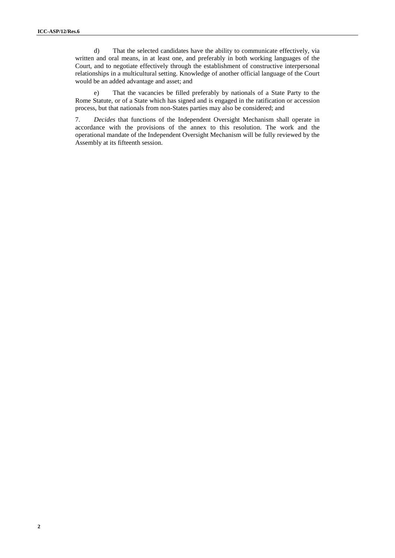d) That the selected candidates have the ability to communicate effectively, via written and oral means, in at least one, and preferably in both working languages of the Court, and to negotiate effectively through the establishment of constructive interpersonal relationships in a multicultural setting. Knowledge of another official language of the Court would be an added advantage and asset; and

e) That the vacancies be filled preferably by nationals of a State Party to the Rome Statute, or of a State which has signed and is engaged in the ratification or accession process, but that nationals from non-States parties may also be considered; and

7. *Decides* that functions of the Independent Oversight Mechanism shall operate in accordance with the provisions of the annex to this resolution. The work and the operational mandate of the Independent Oversight Mechanism will be fully reviewed by the Assembly at its fifteenth session.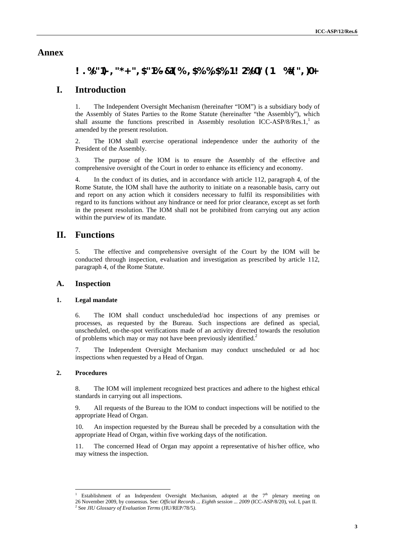## **Annex**

# $\#0'$ **1\$3**+/.**\$.** - **\$.** &\$3' /( $3^*$ '**!.** &' $0'$ . &'.  $3 \#4'$ **12**+)\*3 '' '%\*\$. +2 -

## **I. Introduction**

1. The Independent Oversight Mechanism (hereinafter "IOM") is a subsidiary body of the Assembly of States Parties to the Rome Statute (hereinafter "the Assembly"), which shall assume the functions prescribed in Assembly resolution ICC-ASP/8/Res.1, $\frac{1}{1}$  as amended by the present resolution.

2. The IOM shall exercise operational independence under the authority of the President of the Assembly.

3. The purpose of the IOM is to ensure the Assembly of the effective and comprehensive oversight of the Court in order to enhance its efficiency and economy.

4. In the conduct of its duties, and in accordance with article 112, paragraph 4, of the Rome Statute, the IOM shall have the authority to initiate on a reasonable basis, carry out and report on any action which it considers necessary to fulfil its responsibilities with regard to its functions without any hindrance or need for prior clearance, except as set forth in the present resolution. The IOM shall not be prohibited from carrying out any action within the purview of its mandate.

## **II. Functions**

5. The effective and comprehensive oversight of the Court by the IOM will be conducted through inspection, evaluation and investigation as prescribed by article 112, paragraph 4, of the Rome Statute.

### **A. Inspection**

### **1. Legal mandate**

6. The IOM shall conduct unscheduled/ad hoc inspections of any premises or processes, as requested by the Bureau. Such inspections are defined as special, unscheduled, on-the-spot verifications made of an activity directed towards the resolution of problems which may or may not have been previously identified.<sup>2</sup>

7. The Independent Oversight Mechanism may conduct unscheduled or ad hoc inspections when requested by a Head of Organ.

### **2. Procedures**

8. The IOM will implement recognized best practices and adhere to the highest ethical standards in carrying out all inspections.

9. All requests of the Bureau to the IOM to conduct inspections will be notified to the appropriate Head of Organ.

10. An inspection requested by the Bureau shall be preceded by a consultation with the appropriate Head of Organ, within five working days of the notification.

11. The concerned Head of Organ may appoint a representative of his/her office, who may witness the inspection.

Establishment of an Independent Oversight Mechanism, adopted at the  $7<sup>th</sup>$  plenary meeting on <sup>26</sup> November 2009, by consensus. See: *Official Records ... Eighth session ... 2009* (ICC-ASP/8/20), vol. I, part II. <sup>2</sup> See *JIU Glossary of Evaluation Terms* (JIU/REP/78/5*)*.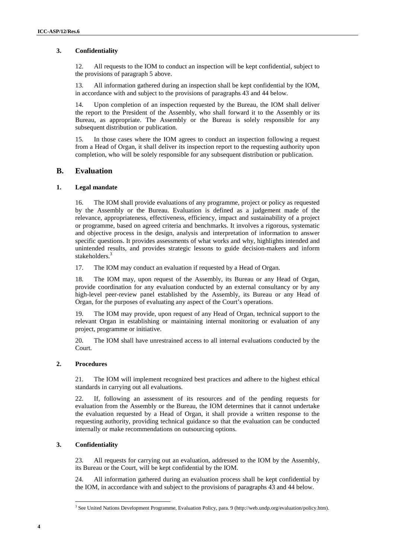### **3. Confidentiality**

12. All requests to the IOM to conduct an inspection will be kept confidential, subject to the provisions of paragraph 5 above.

13. All information gathered during an inspection shall be kept confidential by the IOM, in accordance with and subject to the provisions of paragraphs 43 and 44 below.

14. Upon completion of an inspection requested by the Bureau, the IOM shall deliver the report to the President of the Assembly, who shall forward it to the Assembly or its Bureau, as appropriate. The Assembly or the Bureau is solely responsible for any subsequent distribution or publication.

15. In those cases where the IOM agrees to conduct an inspection following a request from a Head of Organ, it shall deliver its inspection report to the requesting authority upon completion, who will be solely responsible for any subsequent distribution or publication.

### **B. Evaluation**

### **1. Legal mandate**

16. The IOM shall provide evaluations of any programme, project or policy as requested by the Assembly or the Bureau. Evaluation is defined as a judgement made of the relevance, appropriateness, effectiveness, efficiency, impact and sustainability of a project or programme, based on agreed criteria and benchmarks. It involves a rigorous, systematic and objective process in the design, analysis and interpretation of information to answer specific questions. It provides assessments of what works and why, highlights intended and unintended results, and provides strategic lessons to guide decision-makers and inform stakeholders.<sup>3</sup>

17. The IOM may conduct an evaluation if requested by a Head of Organ.

18. The IOM may, upon request of the Assembly, its Bureau or any Head of Organ, provide coordination for any evaluation conducted by an external consultancy or by any high-level peer-review panel established by the Assembly, its Bureau or any Head of Organ, for the purposes of evaluating any aspect of the Court's operations.

19. The IOM may provide, upon request of any Head of Organ, technical support to the relevant Organ in establishing or maintaining internal monitoring or evaluation of any project, programme or initiative.

20. The IOM shall have unrestrained access to all internal evaluations conducted by the Court.

### **2. Procedures**

21. The IOM will implement recognized best practices and adhere to the highest ethical standards in carrying out all evaluations.

22. If, following an assessment of its resources and of the pending requests for evaluation from the Assembly or the Bureau, the IOM determines that it cannot undertake the evaluation requested by a Head of Organ, it shall provide a written response to the requesting authority, providing technical guidance so that the evaluation can be conducted internally or make recommendations on outsourcing options.

### **3. Confidentiality**

23. All requests for carrying out an evaluation, addressed to the IOM by the Assembly, its Bureau or the Court, will be kept confidential by the IOM.

24. All information gathered during an evaluation process shall be kept confidential by the IOM, in accordance with and subject to the provisions of paragraphs 43 and 44 below.

<sup>3</sup> See United Nations Development Programme, Evaluation Policy, para. 9 (http://web.undp.org/evaluation/policy.htm).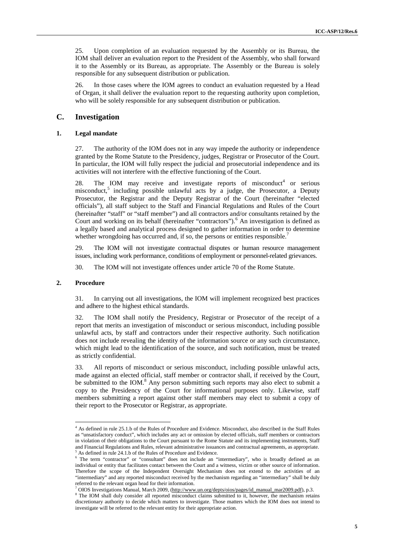25. Upon completion of an evaluation requested by the Assembly or its Bureau, the IOM shall deliver an evaluation report to the President of the Assembly, who shall forward it to the Assembly or its Bureau, as appropriate. The Assembly or the Bureau is solely responsible for any subsequent distribution or publication.

26. In those cases where the IOM agrees to conduct an evaluation requested by a Head of Organ, it shall deliver the evaluation report to the requesting authority upon completion, who will be solely responsible for any subsequent distribution or publication.

### **C. Investigation**

#### **1. Legal mandate**

27. The authority of the IOM does not in any way impede the authority or independence granted by the Rome Statute to the Presidency, judges, Registrar or Prosecutor of the Court. In particular, the IOM will fully respect the judicial and prosecutorial independence and its activities will not interfere with the effective functioning of the Court.

28. The IOM may receive and investigate reports of misconduct<sup>4</sup> or serious misconduct,<sup>5</sup> including possible unlawful acts by a judge, the Prosecutor, a Deputy Prosecutor, the Registrar and the Deputy Registrar of the Court (hereinafter "elected officials"), all staff subject to the Staff and Financial Regulations and Rules of the Court (hereinafter "staff" or "staff member") and all contractors and/or consultants retained by the Court and working on its behalf (hereinafter "contractors").<sup>6</sup> An investigation is defined as a legally based and analytical process designed to gather information in order to determine whether wrongdoing has occurred and, if so, the persons or entities responsible.<sup>7</sup>

29. The IOM will not investigate contractual disputes or human resource management issues, including work performance, conditions of employment or personnel-related grievances.

30. The IOM will not investigate offences under article 70 of the Rome Statute.

#### **2. Procedure**

31. In carrying out all investigations, the IOM will implement recognized best practices and adhere to the highest ethical standards.

32. The IOM shall notify the Presidency, Registrar or Prosecutor of the receipt of a report that merits an investigation of misconduct or serious misconduct, including possible unlawful acts, by staff and contractors under their respective authority. Such notification does not include revealing the identity of the information source or any such circumstance, which might lead to the identification of the source, and such notification, must be treated as strictly confidential.

33. All reports of misconduct or serious misconduct, including possible unlawful acts, made against an elected official, staff member or contractor shall, if received by the Court, be submitted to the IOM.<sup>8</sup> Any person submitting such reports may also elect to submit a copy to the Presidency of the Court for informational purposes only. Likewise, staff members submitting a report against other staff members may elect to submit a copy of their report to the Prosecutor or Registrar, as appropriate.

<sup>4</sup> As defined in rule 25.1.b of the Rules of Procedure and Evidence. Misconduct, also described in the Staff Rules as "unsatisfactory conduct", which includes any act or omission by elected officials, staff members or contractors in violation of their obligations to the Court pursuant to the Rome Statute and its implementing instruments, Staff and Financial Regulations and Rules, relevant administrative issuances and contractual agreements, as appropriate. <sup>5</sup> As defined in rule 24.1.b of the Rules of Procedure and Evidence.

<sup>6</sup> The term "contractor" or "consultant" does not include an "intermediary", who is broadly defined as an individual or entity that facilitates contact between the Court and a witness, victim or other source of information. Therefore the scope of the Independent Oversight Mechanism does not extend to the activities of an "intermediary" and any reported misconduct received by the mechanism regarding an "intermediary" shall be duly

OIOS Investigations Manual, March 2009, (http://www.un.org/depts/oios/pages/id\_manual\_mar2009.pdf), p.3.

<sup>&</sup>lt;sup>8</sup> The IOM shall duly consider all reported misconduct claims submitted to it, however, the mechanism retains discretionary authority to decide which matters to investigate. Those matters which the IOM does not intend to investigate will be referred to the relevant entity for their appropriate action.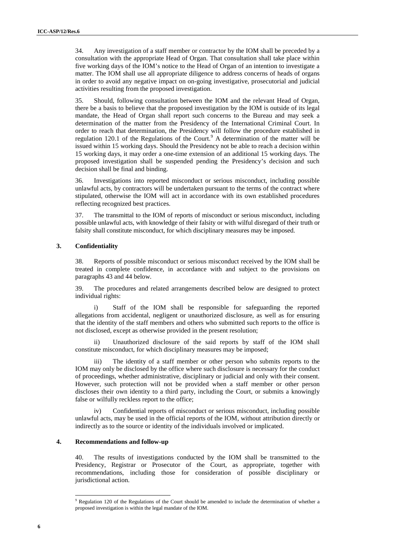34. Any investigation of a staff member or contractor by the IOM shall be preceded by a consultation with the appropriate Head of Organ. That consultation shall take place within five working days of the IOM's notice to the Head of Organ of an intention to investigate a matter. The IOM shall use all appropriate diligence to address concerns of heads of organs in order to avoid any negative impact on on-going investigative, prosecutorial and judicial activities resulting from the proposed investigation.

35. Should, following consultation between the IOM and the relevant Head of Organ, there be a basis to believe that the proposed investigation by the IOM is outside of its legal mandate, the Head of Organ shall report such concerns to the Bureau and may seek a determination of the matter from the Presidency of the International Criminal Court. In order to reach that determination, the Presidency will follow the procedure established in regulation 120.1 of the Regulations of the Court.<sup>9</sup> A determination of the matter will be issued within 15 working days. Should the Presidency not be able to reach a decision within 15 working days, it may order a one-time extension of an additional 15 working days. The proposed investigation shall be suspended pending the Presidency's decision and such decision shall be final and binding.

36. Investigations into reported misconduct or serious misconduct, including possible unlawful acts, by contractors will be undertaken pursuant to the terms of the contract where stipulated, otherwise the IOM will act in accordance with its own established procedures reflecting recognized best practices.

37. The transmittal to the IOM of reports of misconduct or serious misconduct, including possible unlawful acts, with knowledge of their falsity or with wilful disregard of their truth or falsity shall constitute misconduct, for which disciplinary measures may be imposed.

#### **3. Confidentiality**

38. Reports of possible misconduct or serious misconduct received by the IOM shall be treated in complete confidence, in accordance with and subject to the provisions on paragraphs 43 and 44 below.

39. The procedures and related arrangements described below are designed to protect individual rights:

i) Staff of the IOM shall be responsible for safeguarding the reported allegations from accidental, negligent or unauthorized disclosure, as well as for ensuring that the identity of the staff members and others who submitted such reports to the office is not disclosed, except as otherwise provided in the present resolution;

ii) Unauthorized disclosure of the said reports by staff of the IOM shall constitute misconduct, for which disciplinary measures may be imposed;

iii) The identity of a staff member or other person who submits reports to the IOM may only be disclosed by the office where such disclosure is necessary for the conduct of proceedings, whether administrative, disciplinary or judicial and only with their consent. However, such protection will not be provided when a staff member or other person discloses their own identity to a third party, including the Court, or submits a knowingly false or wilfully reckless report to the office;

iv) Confidential reports of misconduct or serious misconduct, including possible unlawful acts, may be used in the official reports of the IOM, without attribution directly or indirectly as to the source or identity of the individuals involved or implicated.

#### **4. Recommendations and follow-up**

40. The results of investigations conducted by the IOM shall be transmitted to the Presidency, Registrar or Prosecutor of the Court, as appropriate, together with recommendations, including those for consideration of possible disciplinary or jurisdictional action.

<sup>9</sup> Regulation 120 of the Regulations of the Court should be amended to include the determination of whether a proposed investigation is within the legal mandate of the IOM.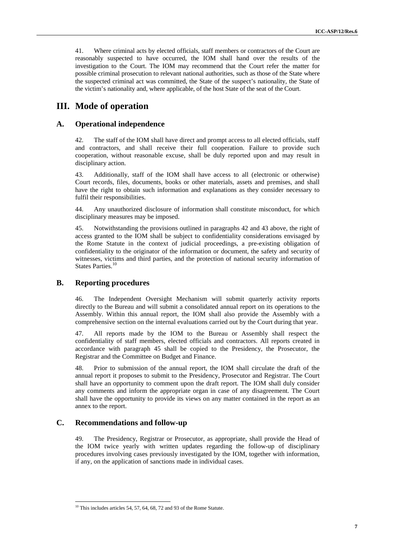41. Where criminal acts by elected officials, staff members or contractors of the Court are reasonably suspected to have occurred, the IOM shall hand over the results of the investigation to the Court. The IOM may recommend that the Court refer the matter for possible criminal prosecution to relevant national authorities, such as those of the State where the suspected criminal act was committed, the State of the suspect's nationality, the State of the victim's nationality and, where applicable, of the host State of the seat of the Court.

## **III. Mode of operation**

### **A. Operational independence**

42. The staff of the IOM shall have direct and prompt access to all elected officials, staff and contractors, and shall receive their full cooperation. Failure to provide such cooperation, without reasonable excuse, shall be duly reported upon and may result in disciplinary action.

43. Additionally, staff of the IOM shall have access to all (electronic or otherwise) Court records, files, documents, books or other materials, assets and premises, and shall have the right to obtain such information and explanations as they consider necessary to fulfil their responsibilities.

44. Any unauthorized disclosure of information shall constitute misconduct, for which disciplinary measures may be imposed.

45. Notwithstanding the provisions outlined in paragraphs 42 and 43 above, the right of access granted to the IOM shall be subject to confidentiality considerations envisaged by the Rome Statute in the context of judicial proceedings, a pre-existing obligation of confidentiality to the originator of the information or document, the safety and security of witnesses, victims and third parties, and the protection of national security information of States Parties.<sup>10</sup>

### **B. Reporting procedures**

46. The Independent Oversight Mechanism will submit quarterly activity reports directly to the Bureau and will submit a consolidated annual report on its operations to the Assembly. Within this annual report, the IOM shall also provide the Assembly with a comprehensive section on the internal evaluations carried out by the Court during that year.

47. All reports made by the IOM to the Bureau or Assembly shall respect the confidentiality of staff members, elected officials and contractors. All reports created in accordance with paragraph 45 shall be copied to the Presidency, the Prosecutor, the Registrar and the Committee on Budget and Finance.

48. Prior to submission of the annual report, the IOM shall circulate the draft of the annual report it proposes to submit to the Presidency, Prosecutor and Registrar. The Court shall have an opportunity to comment upon the draft report. The IOM shall duly consider any comments and inform the appropriate organ in case of any disagreement. The Court shall have the opportunity to provide its views on any matter contained in the report as an annex to the report.

### **C. Recommendations and follow-up**

49. The Presidency, Registrar or Prosecutor, as appropriate, shall provide the Head of the IOM twice yearly with written updates regarding the follow-up of disciplinary procedures involving cases previously investigated by the IOM, together with information, if any, on the application of sanctions made in individual cases.

 $10$  This includes articles 54, 57, 64, 68, 72 and 93 of the Rome Statute.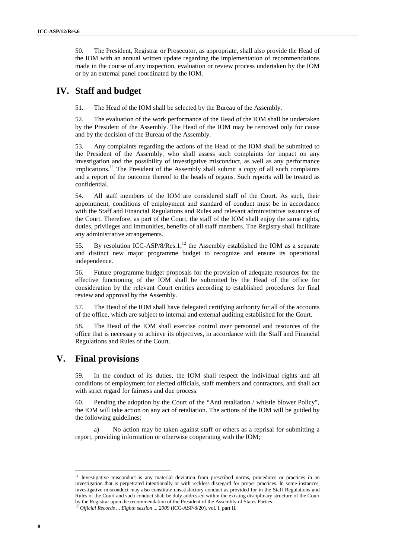50. The President, Registrar or Prosecutor, as appropriate, shall also provide the Head of the IOM with an annual written update regarding the implementation of recommendations made in the course of any inspection, evaluation or review process undertaken by the IOM or by an external panel coordinated by the IOM.

## **IV. Staff and budget**

51. The Head of the IOM shall be selected by the Bureau of the Assembly.

52. The evaluation of the work performance of the Head of the IOM shall be undertaken by the President of the Assembly. The Head of the IOM may be removed only for cause and by the decision of the Bureau of the Assembly.

53. Any complaints regarding the actions of the Head of the IOM shall be submitted to the President of the Assembly, who shall assess such complaints for impact on any investigation and the possibility of investigative misconduct, as well as any performance implications.<sup>11</sup> The President of the Assembly shall submit a copy of all such complaints and a report of the outcome thereof to the heads of organs. Such reports will be treated as confidential.

54. All staff members of the IOM are considered staff of the Court. As such, their appointment, conditions of employment and standard of conduct must be in accordance with the Staff and Financial Regulations and Rules and relevant administrative issuances of the Court. Therefore, as part of the Court, the staff of the IOM shall enjoy the same rights, duties, privileges and immunities, benefits of all staff members. The Registry shall facilitate any administrative arrangements.

55. By resolution ICC-ASP/8/Res.1,<sup>12</sup> the Assembly established the IOM as a separate and distinct new major programme budget to recognize and ensure its operational independence.

56. Future programme budget proposals for the provision of adequate resources for the effective functioning of the IOM shall be submitted by the Head of the office for consideration by the relevant Court entities according to established procedures for final review and approval by the Assembly.

57. The Head of the IOM shall have delegated certifying authority for all of the accounts of the office, which are subject to internal and external auditing established for the Court.

58. The Head of the IOM shall exercise control over personnel and resources of the office that is necessary to achieve its objectives, in accordance with the Staff and Financial Regulations and Rules of the Court.

# **V. Final provisions**

59. In the conduct of its duties, the IOM shall respect the individual rights and all conditions of employment for elected officials, staff members and contractors, and shall act with strict regard for fairness and due process.

60. Pending the adoption by the Court of the "Anti retaliation / whistle blower Policy", the IOM will take action on any act of retaliation. The actions of the IOM will be guided by the following guidelines:

a) No action may be taken against staff or others as a reprisal for submitting a report, providing information or otherwise cooperating with the IOM;

<sup>&</sup>lt;sup>11</sup> Investigative misconduct is any material deviation from prescribed norms, procedures or practices in an investigation that is perpetrated intentionally or with reckless disregard for proper practices. In some instances, investigative misconduct may also constitute unsatisfactory conduct as provided for in the Staff Regulations and Rules of the Court and such conduct shall be duly addressed within the existing disciplinary structure of the Court by the Registrar upon the recommendation of the President of the Assembly of States Parties. <sup>12</sup> *Official Records ... Eighth session ... 2009* (ICC-ASP/8/20), vol. I, part II.